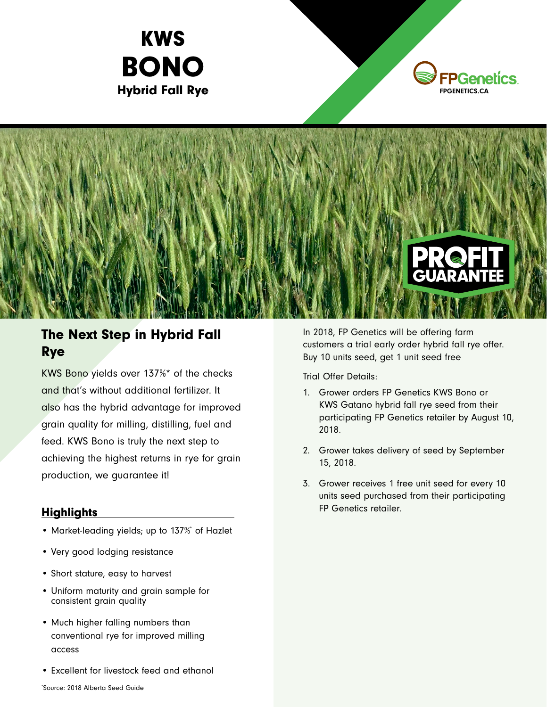





## The Next Step in Hybrid Fall Rye

KWS Bono yields over 137%\* of the checks and that's without additional fertilizer. It also has the hybrid advantage for improved grain quality for milling, distilling, fuel and feed. KWS Bono is truly the next step to achieving the highest returns in rye for grain production, we guarantee it!

### **Highlights**

- Market-leading yields; up to 137%\* of Hazlet
- Very good lodging resistance
- Short stature, easy to harvest
- Uniform maturity and grain sample for consistent grain quality
- Much higher falling numbers than conventional rye for improved milling access
- Excellent for livestock feed and ethanol

In 2018, FP Genetics will be offering farm customers a trial early order hybrid fall rye offer. Buy 10 units seed, get 1 unit seed free

Trial Offer Details:

- 1. Grower orders FP Genetics KWS Bono or KWS Gatano hybrid fall rye seed from their participating FP Genetics retailer by August 10, 2018.
- 2. Grower takes delivery of seed by September 15, 2018.
- 3. Grower receives 1 free unit seed for every 10 units seed purchased from their participating FP Genetics retailer.